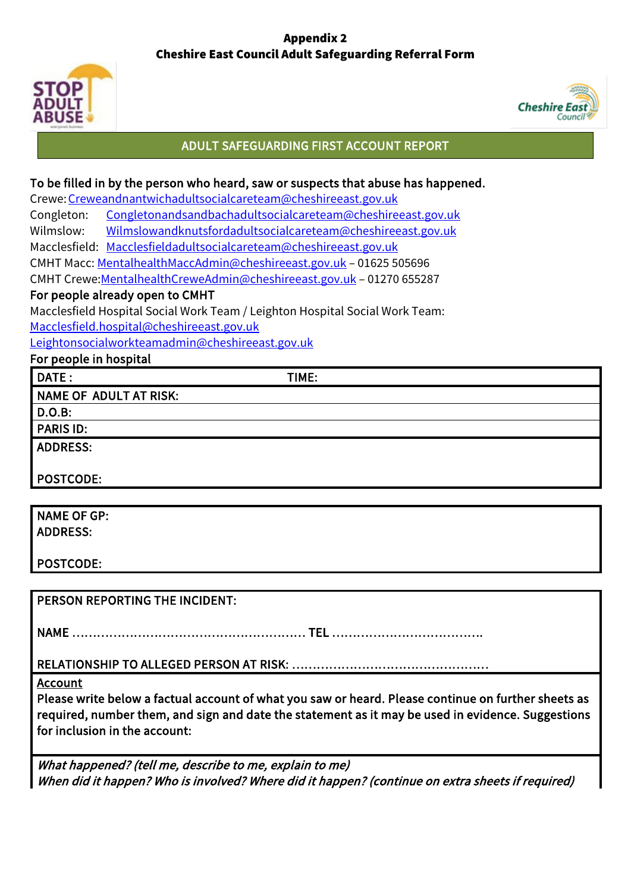# Appendix 2 Cheshire East Council Adult Safeguarding Referral Form





## ADULT SAFEGUARDING FIRST ACCOUNT REPORT

### To be filled in by the person who heard, saw or suspects that abuse has happened.

Crewe[:Creweandnantwichadultsocialcareteam@cheshireeast.gov.uk](mailto:Creweandnantwichadultsocialcareteam@cheshireeast.gov.uk)

Congleton: [Congletonandsandbachadultsocialcareteam@cheshireeast.gov.uk](mailto:Congletonandsandbachadultsocialcareteam@cheshireeast.gov.uk)

Wilmslow: [Wilmslowandknutsfordadultsocialcareteam@cheshireeast.gov.uk](mailto:Wilmslowandknutsfordadultsocialcareteam@cheshireeast.gov.uk)

Macclesfield: [Macclesfieldadultsocialcareteam@cheshireeast.gov.uk](mailto:Macclesfieldadultsocialcareteam@cheshireeast.gov.uk)

CMHT Macc[: MentalhealthMaccAdmin@cheshireeast.gov.uk](mailto:MentalhealthMaccAdmin@cheshireeast.gov.uk) – 01625 505696

CMHT Crewe[:MentalhealthCreweAdmin@cheshireeast.gov.uk](mailto:MentalhealthCreweAdmin@cheshireeast.gov.uk) – 01270 655287

#### For people already open to CMHT

Macclesfield Hospital Social Work Team / Leighton Hospital Social Work Team: [Macclesfield.hospital@cheshireeast.gov.uk](mailto:Macclesfield.hospital@cheshireeast.gov.uk)

[Leightonsocialworkteamadmin@cheshireeast.gov.uk](mailto:Leightonsocialworkteamadmin@cheshireeast.gov.uk)

For people in hospital

DATE: TIME: NAME OF ADULT AT RISK:

D.O.B:

PARIS ID:

ADDRESS:

POSTCODE:

NAME OF GP: ADDRESS:

POSTCODE:

PERSON REPORTING THE INCIDENT:

NAME ………………………………………………… TEL ……………………………….

RELATIONSHIP TO ALLEGED PERSON AT RISK: …………………………………………

Account

Please write below a factual account of what you saw or heard. Please continue on further sheets as required, number them, and sign and date the statement as it may be used in evidence. Suggestions for inclusion in the account:

What happened? (tell me, describe to me, explain to me) When did it happen? Who is involved? Where did it happen? (continue on extra sheets if required)